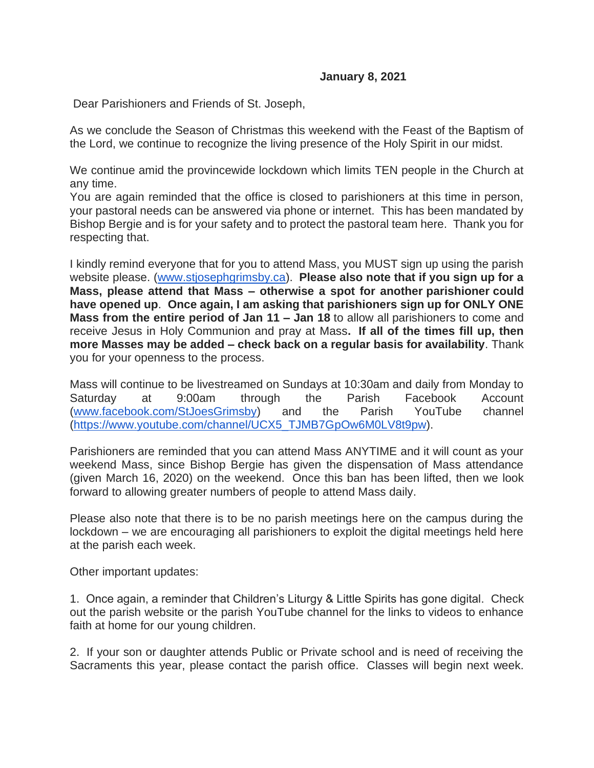## **January 8, 2021**

Dear Parishioners and Friends of St. Joseph,

As we conclude the Season of Christmas this weekend with the Feast of the Baptism of the Lord, we continue to recognize the living presence of the Holy Spirit in our midst.

We continue amid the provincewide lockdown which limits TEN people in the Church at any time.

You are again reminded that the office is closed to parishioners at this time in person, your pastoral needs can be answered via phone or internet. This has been mandated by Bishop Bergie and is for your safety and to protect the pastoral team here. Thank you for respecting that.

I kindly remind everyone that for you to attend Mass, you MUST sign up using the parish website please. [\(www.stjosephgrimsby.ca\)](http://www.stjosephgrimsby.ca/). **Please also note that if you sign up for a Mass, please attend that Mass – otherwise a spot for another parishioner could have opened up**. **Once again, I am asking that parishioners sign up for ONLY ONE Mass from the entire period of Jan 11 – Jan 18** to allow all parishioners to come and receive Jesus in Holy Communion and pray at Mass**. If all of the times fill up, then more Masses may be added – check back on a regular basis for availability**. Thank you for your openness to the process.

Mass will continue to be livestreamed on Sundays at 10:30am and daily from Monday to Saturday at 9:00am through the Parish Facebook Account [\(www.facebook.com/StJoesGrimsby\)](http://www.facebook.com/StJoesGrimsby) and the Parish YouTube channel [\(https://www.youtube.com/channel/UCX5\\_TJMB7GpOw6M0LV8t9pw\)](https://www.youtube.com/channel/UCX5_TJMB7GpOw6M0LV8t9pw).

Parishioners are reminded that you can attend Mass ANYTIME and it will count as your weekend Mass, since Bishop Bergie has given the dispensation of Mass attendance (given March 16, 2020) on the weekend. Once this ban has been lifted, then we look forward to allowing greater numbers of people to attend Mass daily.

Please also note that there is to be no parish meetings here on the campus during the lockdown – we are encouraging all parishioners to exploit the digital meetings held here at the parish each week.

Other important updates:

1. Once again, a reminder that Children's Liturgy & Little Spirits has gone digital. Check out the parish website or the parish YouTube channel for the links to videos to enhance faith at home for our young children.

2. If your son or daughter attends Public or Private school and is need of receiving the Sacraments this year, please contact the parish office. Classes will begin next week.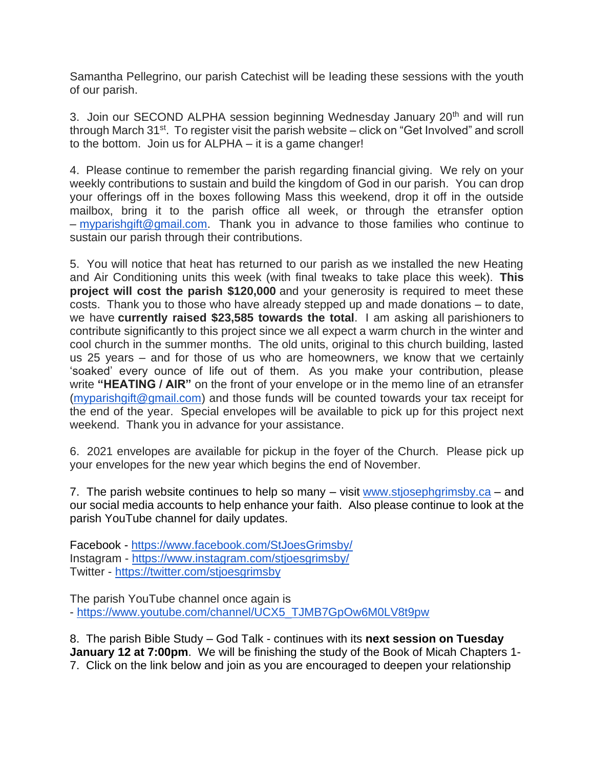Samantha Pellegrino, our parish Catechist will be leading these sessions with the youth of our parish.

3. Join our SECOND ALPHA session beginning Wednesday January 20<sup>th</sup> and will run through March 31<sup>st</sup>. To register visit the parish website – click on "Get Involved" and scroll to the bottom. Join us for ALPHA – it is a game changer!

4. Please continue to remember the parish regarding financial giving. We rely on your weekly contributions to sustain and build the kingdom of God in our parish. You can drop your offerings off in the boxes following Mass this weekend, drop it off in the outside mailbox, bring it to the parish office all week, or through the etransfer option – [myparishgift@gmail.com.](mailto:myparishgift@gmail.com) Thank you in advance to those families who continue to sustain our parish through their contributions.

5. You will notice that heat has returned to our parish as we installed the new Heating and Air Conditioning units this week (with final tweaks to take place this week). **This project will cost the parish \$120,000** and your generosity is required to meet these costs. Thank you to those who have already stepped up and made donations – to date, we have **currently raised \$23,585 towards the total**. I am asking all parishioners to contribute significantly to this project since we all expect a warm church in the winter and cool church in the summer months. The old units, original to this church building, lasted us 25 years – and for those of us who are homeowners, we know that we certainly 'soaked' every ounce of life out of them. As you make your contribution, please write **"HEATING / AIR"** on the front of your envelope or in the memo line of an etransfer [\(myparishgift@gmail.com\)](mailto:myparishgift@gmail.com) and those funds will be counted towards your tax receipt for the end of the year. Special envelopes will be available to pick up for this project next weekend. Thank you in advance for your assistance.

6. 2021 envelopes are available for pickup in the foyer of the Church. Please pick up your envelopes for the new year which begins the end of November.

7. The parish website continues to help so many – visit [www.stjosephgrimsby.ca](http://www.stjosephgrimsby.ca/) – and our social media accounts to help enhance your faith. Also please continue to look at the parish YouTube channel for daily updates.

Facebook - <https://www.facebook.com/StJoesGrimsby/> Instagram - <https://www.instagram.com/stjoesgrimsby/> Twitter - <https://twitter.com/stjoesgrimsby>

The parish YouTube channel once again is - [https://www.youtube.com/channel/UCX5\\_TJMB7GpOw6M0LV8t9pw](https://www.youtube.com/channel/UCX5_TJMB7GpOw6M0LV8t9pw)

8. The parish Bible Study – God Talk - continues with its **next session on Tuesday January 12 at 7:00pm**. We will be finishing the study of the Book of Micah Chapters 1- 7. Click on the link below and join as you are encouraged to deepen your relationship